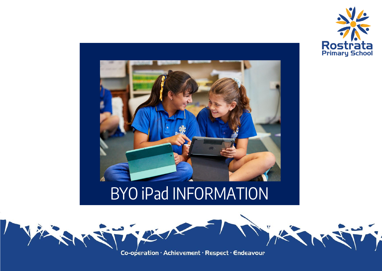



### BYO iPad INFORMATION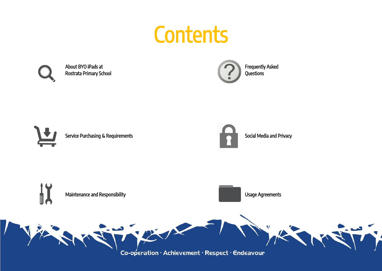### **Contents**



小头

Rostrata Primary School **Contract Primary School** Questions **Contract Primary School** 

About BYO iPads at **Frequently Asked** 

Service Purchasing & Requirements Social Media and Privacy



LA METTE

Maintenance and Responsibility **Example 2018** Usage Agreements

Co-operation · Achievement · Respect · Endeavour

Freux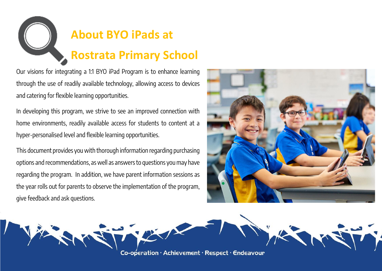

Our visions for integrating a 1:1 BYO iPad Program is to enhance learning through the use of readily available technology, allowing access to devices and catering for flexible learning opportunities.

In developing this program, we strive to see an improved connection with home environments, readily available access for students to content at a hyper-personalised level and flexible learning opportunities.

This document provides you with thorough information regarding purchasing options and recommendations, as well as answers to questions you may have regarding the program. In addition, we have parent information sessions as the year rolls out for parents to observe the implementation of the program, give feedback and ask questions.



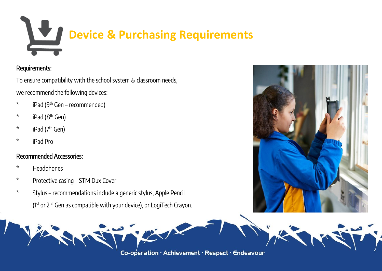# **Device & Purchasing Requirements**

#### Requirements:

To ensure compatibility with the school system & classroom needs, we recommend the following devices:

- \* iPad (9<sup>th</sup> Gen recommended)
- \* iPad (8<sup>th</sup> Gen)
- \* iPad (7 th Gen)
- \* iPad Pro

#### Recommended Accessories:

- \* Headphones
- \* Protective casing STM Dux Cover
- \* Stylus recommendations include a generic stylus, Apple Pencil  $(1<sup>st</sup>$  or  $2<sup>nd</sup>$  Gen as compatible with your device), or LogiTech Crayon.



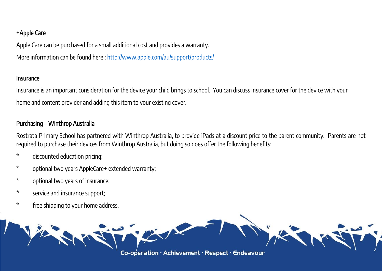#### +Apple Care

Apple Care can be purchased for a small additional cost and provides a warranty. More information can be found here :<http://www.apple.com/au/support/products/>

#### Insurance

Insurance is an important consideration for the device your child brings to school. You can discuss insurance cover for the device with your home and content provider and adding this item to your existing cover.

#### Purchasing – Winthrop Australia

Rostrata Primary School has partnered with Winthrop Australia, to provide iPads at a discount price to the parent community. Parents are not required to purchase their devices from Winthrop Australia, but doing so does offer the following benefits:

- \* discounted education pricing;
- \* optional two years AppleCare+ extended warranty;
- \* optional two years of insurance;
- \* service and insurance support;
- \* free shipping to your home address.

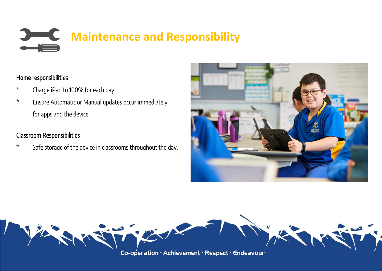### **THE Maintenance and Responsibility**

#### Home responsibilities

- \* Charge iPad to 100% for each day.
- \* Ensure Automatic or Manual updates occur immediately for apps and the device.

#### Classroom Responsibilities

\* Safe storage of the device in classrooms throughout the day.



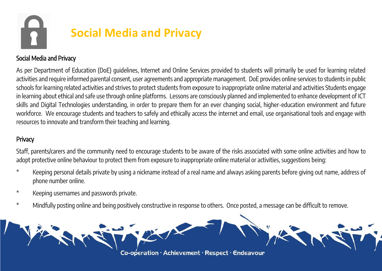## **Social Media and Privacy**

#### Social Media and Privacy

As per Department of Education (DoE) guidelines, Internet and Online Services provided to students will primarily be used for learning related activities and require informed parental consent, user agreements and appropriate management. DoE provides online services to students in public schools for learning related activities and strives to protect students from exposure to inappropriate online material and activities Students engage in learning about ethical and safe use through online platforms. Lessons are consciously planned and implemented to enhance development of ICT skills and Digital Technologies understanding, in order to prepare them for an ever changing social, higher-education environment and future workforce. We encourage students and teachers to safely and ethically access the internet and email, use organisational tools and engage with resources to innovate and transform their teaching and learning.

#### **Privacy**

Staff, parents/carers and the community need to encourage students to be aware of the risks associated with some online activities and how to adopt protective online behaviour to protect them from exposure to inappropriate online material or activities, suggestions being:

- \* Keeping personal details private by using a nickname instead of a real name and always asking parents before giving out name, address of phone number online.
- \* Keeping usernames and passwords private.
- \* Mindfully posting online and being positively constructive in response to others. Once posted, a message can be difficult to remove.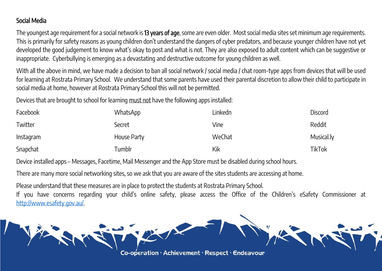#### Social Media

The youngest age requirement for a social network is 13 years of age, some are even older. Most social media sites set minimum age requirements. This is primarily for safety reasons as young children don't understand the dangers of cyber predators, and because younger children have not yet developed the good judgement to know what's okay to post and what is not. They are also exposed to adult content which can be suggestive or inappropriate. Cyberbullying is emerging as a devastating and destructive outcome for young children as well.

With all the above in mind, we have made a decision to ban all social network / social media / chat room-type apps from devices that will be used for learning at Rostrata Primary School. We understand that some parents have used their parental discretion to allow their child to participate in social media at home, however at Rostrata Primary School this will not be permitted.

Devices that are brought to school for learning must not have the following apps installed:

| <b>Facebook</b> | WhatsApp    | Linkedn | <b>Discord</b> |
|-----------------|-------------|---------|----------------|
| Twitter         | Secret      | Vine    | Reddit         |
| Instagram       | House Party | WeChat  | Musical.ly     |
| Snapchat        | Tumblr      | Kik     | <b>TikTok</b>  |

Device installed apps – Messages, Facetime, Mail Messenger and the App Store must be disabled during school hours.

There are many more social networking sites, so we ask that you are aware of the sites students are accessing at home.

Please understand that these measures are in place to protect the students at Rostrata Primary School.

If you have concerns regarding your child's online safety, please access the Office of the Children's eSafety Commissioner at [http://www.esafety.gov.au/.](http://www.esafety.gov.au/)

Co-operation · Achievement · Respect · Endeavour

A THE NEW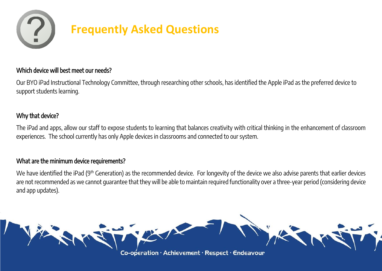

#### Which device will best meet our needs?

Our BYO iPad Instructional Technology Committee, through researching other schools, has identified the Apple iPad as the preferred device to support students learning.

#### Why that device?

The iPad and apps, allow our staff to expose students to learning that balances creativity with critical thinking in the enhancement of classroom experiences. The school currently has only Apple devices in classrooms and connected to our system.

#### What are the minimum device requirements?

We have identified the iPad (9th Generation) as the recommended device. For longevity of the device we also advise parents that earlier devices are not recommended as we cannot guarantee that they will be able to maintain required functionality over a three-year period (considering device and app updates).